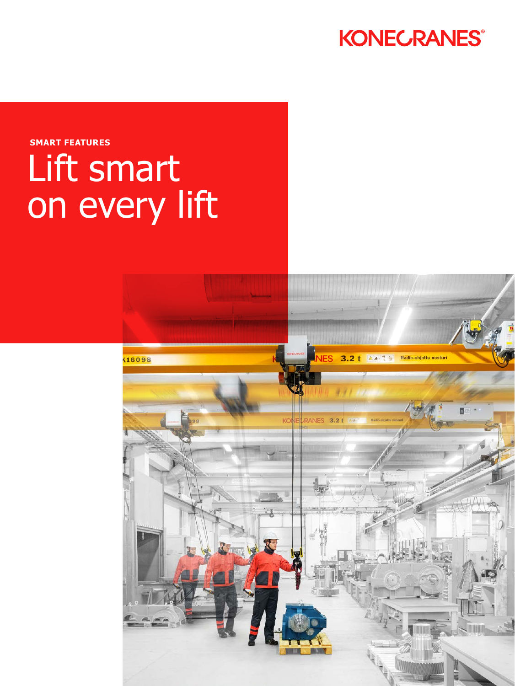

### **SMART FEATURES**

# Lift smart on every lift

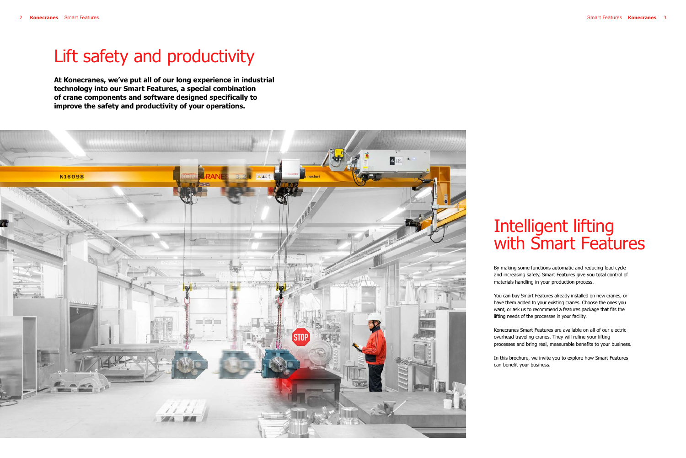## Intelligent lifting with Smart Features

By making some functions automatic and reducing load cycle and increasing safety, Smart Features give you total control of materials handling in your production process.

You can buy Smart Features already installed on new cranes, or have them added to your existing cranes. Choose the ones you want, or ask us to recommend a features package that fits the lifting needs of the processes in your facility.

Konecranes Smart Features are available on all of our electric overhead traveling cranes. They will refine your lifting processes and bring real, measurable benefits to your business.

In this brochure, we invite you to explore how Smart Features can benefit your business.

## Lift safety and productivity

**At Konecranes, we've put all of our long experience in industrial technology into our Smart Features, a special combination of crane components and software designed specifically to improve the safety and productivity of your operations.**

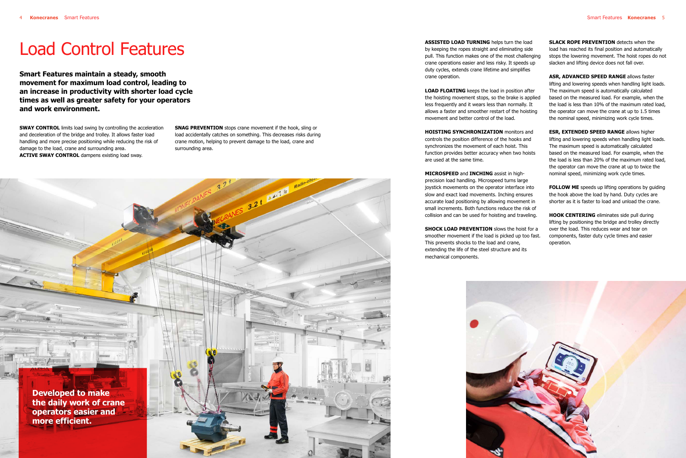**Smart Features maintain a steady, smooth movement for maximum load control, leading to an increase in productivity with shorter load cycle times as well as greater safety for your operators and work environment.**

**SWAY CONTROL** limits load swing by controlling the acceleration and deceleration of the bridge and trolley. It allows faster load handling and more precise positioning while reducing the risk of damage to the load, crane and surrounding area. **ACTIVE SWAY CONTROL** dampens existing load sway.

### Load Control Features

**SNAG PREVENTION** stops crane movement if the hook, sling or load accidentally catches on something. This decreases risks during crane motion, helping to prevent damage to the load, crane and

surrounding area.

3.21 AAD

**ASSISTED LOAD TURNING** helps turn the load by keeping the ropes straight and eliminating side pull. This function makes one of the most challenging crane operations easier and less risky. It speeds up duty cycles, extends crane lifetime and simplifies crane operation.

**SLACK ROPE PREVENTION** detects when the load has reached its final position and automatically stops the lowering movement. The hoist ropes do not slacken and lifting device does not fall over.

**LOAD FLOATING** keeps the load in position after the hoisting movement stops, so the brake is applied less frequently and it wears less than normally. It allows a faster and smoother restart of the hoisting movement and better control of the load.

**HOISTING SYNCHRONIZATION** monitors and controls the position difference of the hooks and synchronizes the movement of each hoist. This function provides better accuracy when two hoists are used at the same time.

> **FOLLOW ME** speeds up lifting operations by quiding the hook above the load by hand. Duty cycles are shorter as it is faster to load and unload the crane.

**MICROSPEED** and **INCHING** assist in highprecision load handling. Microspeed turns large joystick movements on the operator interface into slow and exact load movements. Inching ensures accurate load positioning by allowing movement in small increments. Both functions reduce the risk of collision and can be used for hoisting and traveling.

**SHOCK LOAD PREVENTION** slows the hoist for a smoother movement if the load is picked up too fast. This prevents shocks to the load and crane, extending the life of the steel structure and its mechanical components.



**ASR, ADVANCED SPEED RANGE** allows faster lifting and lowering speeds when handling light loads. The maximum speed is automatically calculated based on the measured load. For example, when the the load is less than 10% of the maximum rated load, the operator can move the crane at up to 1.5 times the nominal speed, minimizing work cycle times.

**ESR, EXTENDED SPEED RANGE** allows higher lifting and lowering speeds when handling light loads. The maximum speed is automatically calculated based on the measured load. For example, when the the load is less than 20% of the maximum rated load, the operator can move the crane at up to twice the nominal speed, minimizing work cycle times.

**HOOK CENTERING** eliminates side pull during lifting by positioning the bridge and trolley directly over the load. This reduces wear and tear on components, faster duty cycle times and easier operation.

**Developed to make the daily work of crane operators easier and more efficient.**

**EUG**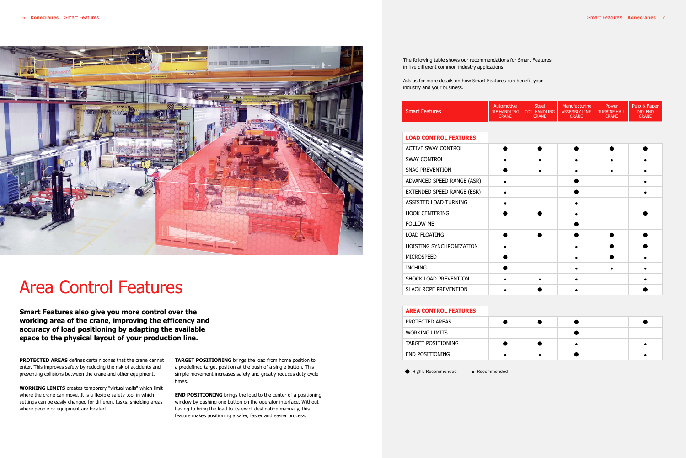**Smart Features also give you more control over the working area of the crane, improving the efficency and accuracy of load positioning by adapting the available space to the physical layout of your production line.**



## Area Control Features

**PROTECTED AREAS** defines certain zones that the crane cannot enter. This improves safety by reducing the risk of accidents and preventing collisions between the crane and other equipment.

**WORKING LIMITS** creates temporary "virtual walls" which limit where the crane can move. It is a flexible safety tool in which settings can be easily changed for different tasks, shielding areas where people or equipment are located.

**TARGET POSITIONING** brings the load from home position to a predefined target position at the push of a single button. This simple movement increases safety and greatly reduces duty cycle times.

**END POSITIONING** brings the load to the center of a positioning window by pushing one button on the operator interface. Without having to bring the load to its exact destination manually, this feature makes positioning a safer, faster and easier process.

|                       | Automotive   | Steel         | Manufacturing | 'Power              | Pulp & Paper  |
|-----------------------|--------------|---------------|---------------|---------------------|---------------|
| <b>Smart Features</b> | DIE HANDLING | COIL HANDLING | ASSEMBLY LINE | <b>TURBINE HALL</b> | DRY FND       |
|                       | CRANE        | CRANE         | <b>CRANE</b>  | CRANE               | <b>CRANE'</b> |

#### **LOAD CONTROL FEATURES**

| ACTIVE SWAY CONTROL          |  |  |  |
|------------------------------|--|--|--|
| <b>SWAY CONTROL</b>          |  |  |  |
| SNAG PREVENTION              |  |  |  |
| ADVANCED SPEED RANGE (ASR)   |  |  |  |
| EXTENDED SPEED RANGE (ESR)   |  |  |  |
| ASSISTED LOAD TURNING        |  |  |  |
| <b>HOOK CENTERING</b>        |  |  |  |
| <b>FOLLOW ME</b>             |  |  |  |
| <b>LOAD FLOATING</b>         |  |  |  |
| HOISTING SYNCHRONIZATION     |  |  |  |
| <b>MICROSPEED</b>            |  |  |  |
| <b>INCHING</b>               |  |  |  |
| SHOCK LOAD PREVENTION        |  |  |  |
| <b>SLACK ROPE PREVENTION</b> |  |  |  |

#### **AREA CONTROL FEATURES**

| PROTECTED AREAS        |  |  |  |
|------------------------|--|--|--|
| <b>WORKING LIMITS</b>  |  |  |  |
| TARGET POSITIONING     |  |  |  |
| <b>END POSITIONING</b> |  |  |  |

● Highly Recommended ● Recommended

The following table shows our recommendations for Smart Features in five different common industry applications.

Ask us for more details on how Smart Features can benefit your industry and your business.